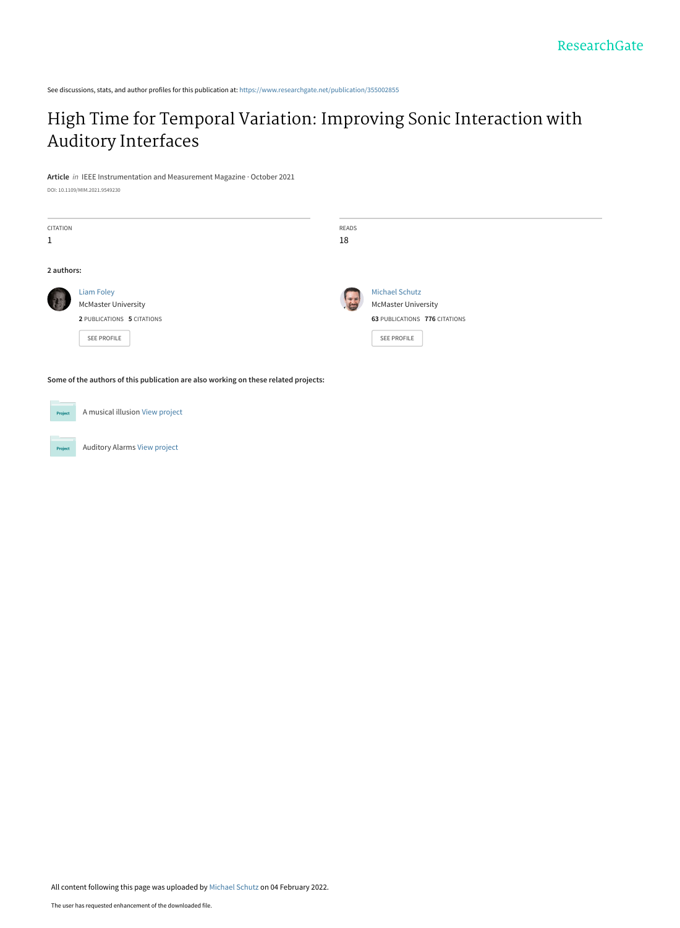See discussions, stats, and author profiles for this publication at: [https://www.researchgate.net/publication/355002855](https://www.researchgate.net/publication/355002855_High_Time_for_Temporal_Variation_Improving_Sonic_Interaction_with_Auditory_Interfaces?enrichId=rgreq-2ee3c4fbf446bff8808fb24ea2c6a1a7-XXX&enrichSource=Y292ZXJQYWdlOzM1NTAwMjg1NTtBUzoxMTE5ODQxNjU4Mzc2MTkyQDE2NDQwMDI0NjUyMTY%3D&el=1_x_2&_esc=publicationCoverPdf)

## [High Time for Temporal Variation: Improving Sonic Interaction with](https://www.researchgate.net/publication/355002855_High_Time_for_Temporal_Variation_Improving_Sonic_Interaction_with_Auditory_Interfaces?enrichId=rgreq-2ee3c4fbf446bff8808fb24ea2c6a1a7-XXX&enrichSource=Y292ZXJQYWdlOzM1NTAwMjg1NTtBUzoxMTE5ODQxNjU4Mzc2MTkyQDE2NDQwMDI0NjUyMTY%3D&el=1_x_3&_esc=publicationCoverPdf) Auditory Interfaces

**Article** in IEEE Instrumentation and Measurement Magazine · October 2021

DOI: 10.1109/MIM.2021.9549230

| CITATION                                                                            |                            | READS |                               |
|-------------------------------------------------------------------------------------|----------------------------|-------|-------------------------------|
| 1                                                                                   |                            | 18    |                               |
|                                                                                     |                            |       |                               |
| 2 authors:                                                                          |                            |       |                               |
|                                                                                     | <b>Liam Foley</b>          | 守定    | <b>Michael Schutz</b>         |
|                                                                                     | <b>McMaster University</b> |       | <b>McMaster University</b>    |
|                                                                                     | 2 PUBLICATIONS 5 CITATIONS |       | 63 PUBLICATIONS 776 CITATIONS |
|                                                                                     | SEE PROFILE                |       | <b>SEE PROFILE</b>            |
|                                                                                     |                            |       |                               |
| Some of the authors of this publication are also working on these related projects: |                            |       |                               |

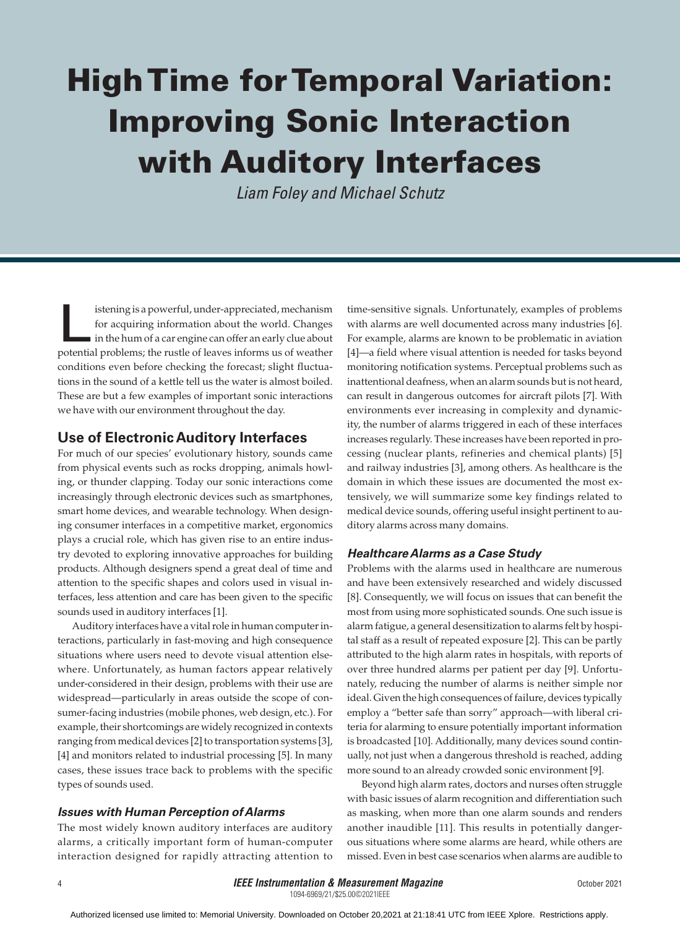# High Time for Temporal Variation: Improving Sonic Interaction with Auditory Interfaces

*Liam Foley and Michael Schutz*

istening is a powerful, under-appreciated, mechanism<br>for acquiring information about the world. Changes<br>in the hum of a car engine can offer an early clue about<br>potential problems: the rustle of leaves informs us of weathe for acquiring information about the world. Changes in the hum of a car engine can offer an early clue about potential problems; the rustle of leaves informs us of weather conditions even before checking the forecast; slight fluctuations in the sound of a kettle tell us the water is almost boiled. These are but a few examples of important sonic interactions we have with our environment throughout the day.

## **Use of Electronic Auditory Interfaces**

For much of our species' evolutionary history, sounds came from physical events such as rocks dropping, animals howling, or thunder clapping. Today our sonic interactions come increasingly through electronic devices such as smartphones, smart home devices, and wearable technology. When designing consumer interfaces in a competitive market, ergonomics plays a crucial role, which has given rise to an entire industry devoted to exploring innovative approaches for building products. Although designers spend a great deal of time and attention to the specific shapes and colors used in visual interfaces, less attention and care has been given to the specific sounds used in auditory interfaces [1].

Auditory interfaces have a vital role in human computer interactions, particularly in fast-moving and high consequence situations where users need to devote visual attention elsewhere. Unfortunately, as human factors appear relatively under-considered in their design, problems with their use are widespread—particularly in areas outside the scope of consumer-facing industries (mobile phones, web design, etc.). For example, their shortcomings are widely recognized in contexts ranging from medical devices [2] to transportation systems [3], [4] and monitors related to industrial processing [5]. In many cases, these issues trace back to problems with the specific types of sounds used.

### *Issues with Human Perception of Alarms*

The most widely known auditory interfaces are auditory alarms, a critically important form of human-computer interaction designed for rapidly attracting attention to time-sensitive signals. Unfortunately, examples of problems with alarms are well documented across many industries [6]. For example, alarms are known to be problematic in aviation [4]—a field where visual attention is needed for tasks beyond monitoring notification systems. Perceptual problems such as inattentional deafness, when an alarm sounds but is not heard, can result in dangerous outcomes for aircraft pilots [7]. With environments ever increasing in complexity and dynamicity, the number of alarms triggered in each of these interfaces increases regularly. These increases have been reported in processing (nuclear plants, refineries and chemical plants) [5] and railway industries [3], among others. As healthcare is the domain in which these issues are documented the most extensively, we will summarize some key findings related to medical device sounds, offering useful insight pertinent to auditory alarms across many domains.

#### *Healthcare Alarms as a Case Study*

Problems with the alarms used in healthcare are numerous and have been extensively researched and widely discussed [8]. Consequently, we will focus on issues that can benefit the most from using more sophisticated sounds. One such issue is alarm fatigue, a general desensitization to alarms felt by hospital staff as a result of repeated exposure [2]. This can be partly attributed to the high alarm rates in hospitals, with reports of over three hundred alarms per patient per day [9]. Unfortunately, reducing the number of alarms is neither simple nor ideal. Given the high consequences of failure, devices typically employ a "better safe than sorry" approach—with liberal criteria for alarming to ensure potentially important information is broadcasted [10]. Additionally, many devices sound continually, not just when a dangerous threshold is reached, adding more sound to an already crowded sonic environment [9].

Beyond high alarm rates, doctors and nurses often struggle with basic issues of alarm recognition and differentiation such as masking, when more than one alarm sounds and renders another inaudible [11]. This results in potentially dangerous situations where some alarms are heard, while others are missed. Even in best case scenarios when alarms are audible to

1094-6969/21/\$25.00©2021IEEE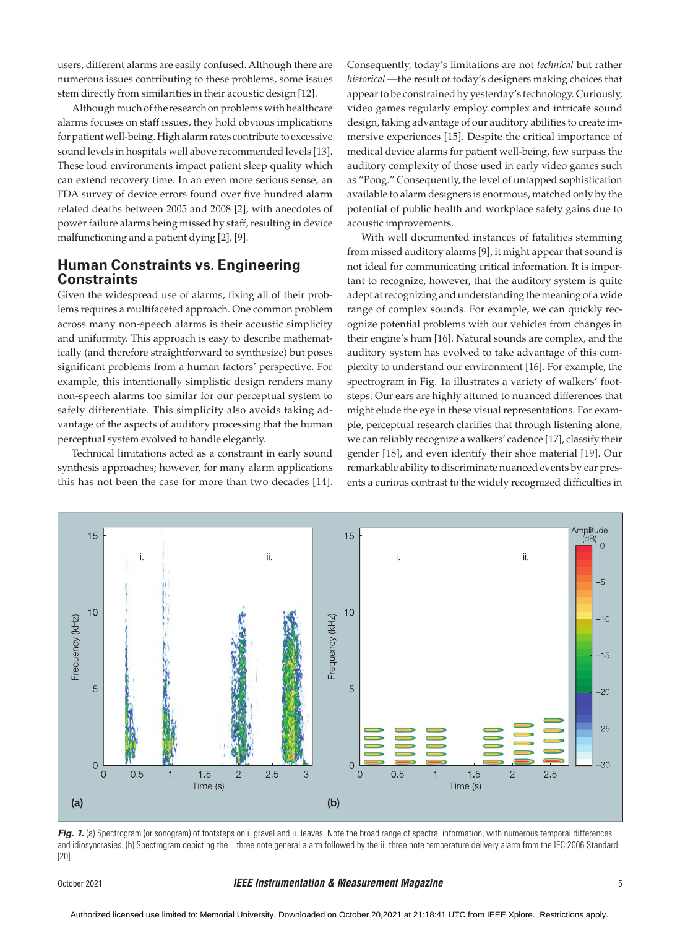users, different alarms are easily confused. Although there are numerous issues contributing to these problems, some issues stem directly from similarities in their acoustic design [12].

Although much of the research on problems with healthcare alarms focuses on staff issues, they hold obvious implications for patient well-being. High alarm rates contribute to excessive sound levels in hospitals well above recommended levels [13]. These loud environments impact patient sleep quality which can extend recovery time. In an even more serious sense, an FDA survey of device errors found over five hundred alarm related deaths between 2005 and 2008 [2], with anecdotes of power failure alarms being missed by staff, resulting in device malfunctioning and a patient dying [2], [9].

## **Human Constraints vs. Engineering Constraints**

Given the widespread use of alarms, fixing all of their problems requires a multifaceted approach. One common problem across many non-speech alarms is their acoustic simplicity and uniformity. This approach is easy to describe mathematically (and therefore straightforward to synthesize) but poses significant problems from a human factors' perspective. For example, this intentionally simplistic design renders many non-speech alarms too similar for our perceptual system to safely differentiate. This simplicity also avoids taking advantage of the aspects of auditory processing that the human perceptual system evolved to handle elegantly.

Technical limitations acted as a constraint in early sound synthesis approaches; however, for many alarm applications this has not been the case for more than two decades [14].

Consequently, today's limitations are not *technical* but rather *historical* —the result of today's designers making choices that appear to be constrained by yesterday's technology. Curiously, video games regularly employ complex and intricate sound design, taking advantage of our auditory abilities to create immersive experiences [15]. Despite the critical importance of medical device alarms for patient well-being, few surpass the auditory complexity of those used in early video games such as "Pong." Consequently, the level of untapped sophistication available to alarm designers is enormous, matched only by the potential of public health and workplace safety gains due to acoustic improvements.

With well documented instances of fatalities stemming from missed auditory alarms [9], it might appear that sound is not ideal for communicating critical information. It is important to recognize, however, that the auditory system is quite adept at recognizing and understanding the meaning of a wide range of complex sounds. For example, we can quickly recognize potential problems with our vehicles from changes in their engine's hum [16]. Natural sounds are complex, and the auditory system has evolved to take advantage of this complexity to understand our environment [16]. For example, the spectrogram in Fig. 1a illustrates a variety of walkers' footsteps. Our ears are highly attuned to nuanced differences that might elude the eye in these visual representations. For example, perceptual research clarifies that through listening alone, we can reliably recognize a walkers' cadence [17], classify their gender [18], and even identify their shoe material [19]. Our remarkable ability to discriminate nuanced events by ear presents a curious contrast to the widely recognized difficulties in



Fig. 1. (a) Spectrogram (or sonogram) of footsteps on i. gravel and ii. leaves. Note the broad range of spectral information, with numerous temporal differences and idiosyncrasies. (b) Spectrogram depicting the i. three note general alarm followed by the ii. three note temperature delivery alarm from the IEC:2006 Standard [20].

#### October 2021 *IEEE Instrumentation & Measurement Magazine* 5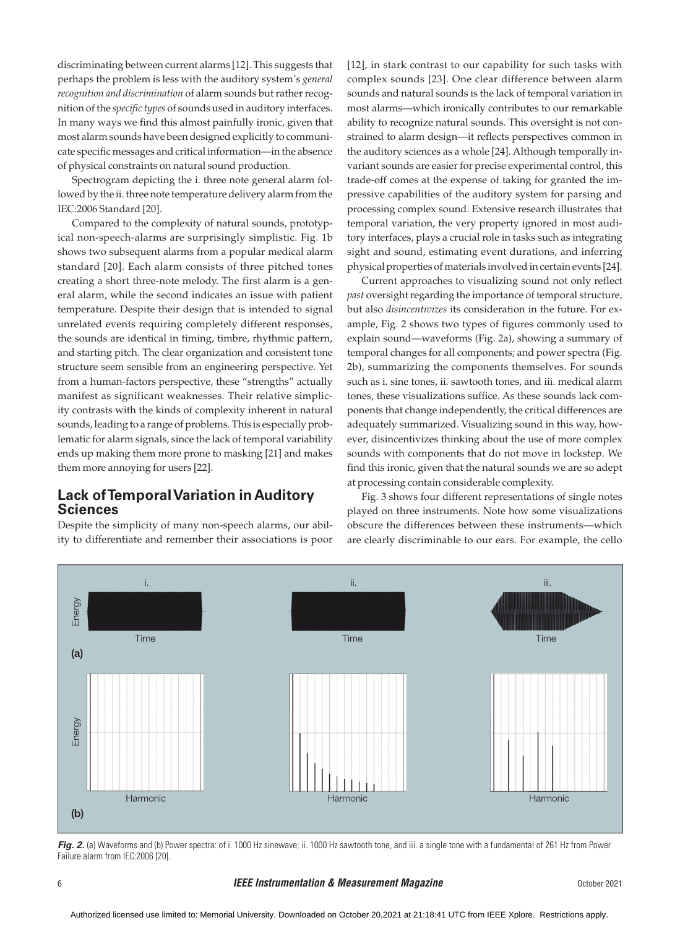discriminating between current alarms [12]. This suggests that perhaps the problem is less with the auditory system's *general recognition and discrimination* of alarm sounds but rather recognition of the *specific types* of sounds used in auditory interfaces. In many ways we find this almost painfully ironic, given that most alarm sounds have been designed explicitly to communicate specific messages and critical information—in the absence of physical constraints on natural sound production.

Spectrogram depicting the i. three note general alarm followed by the ii. three note temperature delivery alarm from the IEC:2006 Standard [20].

Compared to the complexity of natural sounds, prototypical non-speech-alarms are surprisingly simplistic. Fig. 1b shows two subsequent alarms from a popular medical alarm standard [20]. Each alarm consists of three pitched tones creating a short three-note melody. The first alarm is a general alarm, while the second indicates an issue with patient temperature. Despite their design that is intended to signal unrelated events requiring completely different responses, the sounds are identical in timing, timbre, rhythmic pattern, and starting pitch. The clear organization and consistent tone structure seem sensible from an engineering perspective. Yet from a human-factors perspective, these "strengths" actually manifest as significant weaknesses. Their relative simplicity contrasts with the kinds of complexity inherent in natural sounds, leading to a range of problems. This is especially problematic for alarm signals, since the lack of temporal variability ends up making them more prone to masking [21] and makes them more annoying for users [22].

## **Lack of Temporal Variation in Auditory Sciences**

Despite the simplicity of many non-speech alarms, our ability to differentiate and remember their associations is poor [12], in stark contrast to our capability for such tasks with complex sounds [23]. One clear difference between alarm sounds and natural sounds is the lack of temporal variation in most alarms—which ironically contributes to our remarkable ability to recognize natural sounds. This oversight is not constrained to alarm design—it reflects perspectives common in the auditory sciences as a whole [24]. Although temporally invariant sounds are easier for precise experimental control, this trade-off comes at the expense of taking for granted the impressive capabilities of the auditory system for parsing and processing complex sound. Extensive research illustrates that temporal variation, the very property ignored in most auditory interfaces, plays a crucial role in tasks such as integrating sight and sound, estimating event durations, and inferring physical properties of materials involved in certain events [24].

Current approaches to visualizing sound not only reflect *past* oversight regarding the importance of temporal structure, but also *disincentivizes* its consideration in the future. For example, Fig. 2 shows two types of figures commonly used to explain sound—waveforms (Fig. 2a), showing a summary of temporal changes for all components; and power spectra (Fig. 2b), summarizing the components themselves. For sounds such as i. sine tones, ii. sawtooth tones, and iii. medical alarm tones, these visualizations suffice. As these sounds lack components that change independently, the critical differences are adequately summarized. Visualizing sound in this way, however, disincentivizes thinking about the use of more complex sounds with components that do not move in lockstep. We find this ironic, given that the natural sounds we are so adept at processing contain considerable complexity.

Fig. 3 shows four different representations of single notes played on three instruments. Note how some visualizations obscure the differences between these instruments—which are clearly discriminable to our ears. For example, the cello



Fig. 2. (a) Waveforms and (b) Power spectra: of i. 1000 Hz sinewave; ii. 1000 Hz sawtooth tone, and iii. a single tone with a fundamental of 261 Hz from Power Failure alarm from IEC:2006 [20].

#### 6 *IEEE Instrumentation & Measurement Magazine* October 2021

Authorized licensed use limited to: Memorial University. Downloaded on October 20,2021 at 21:18:41 UTC from IEEE Xplore. Restrictions apply.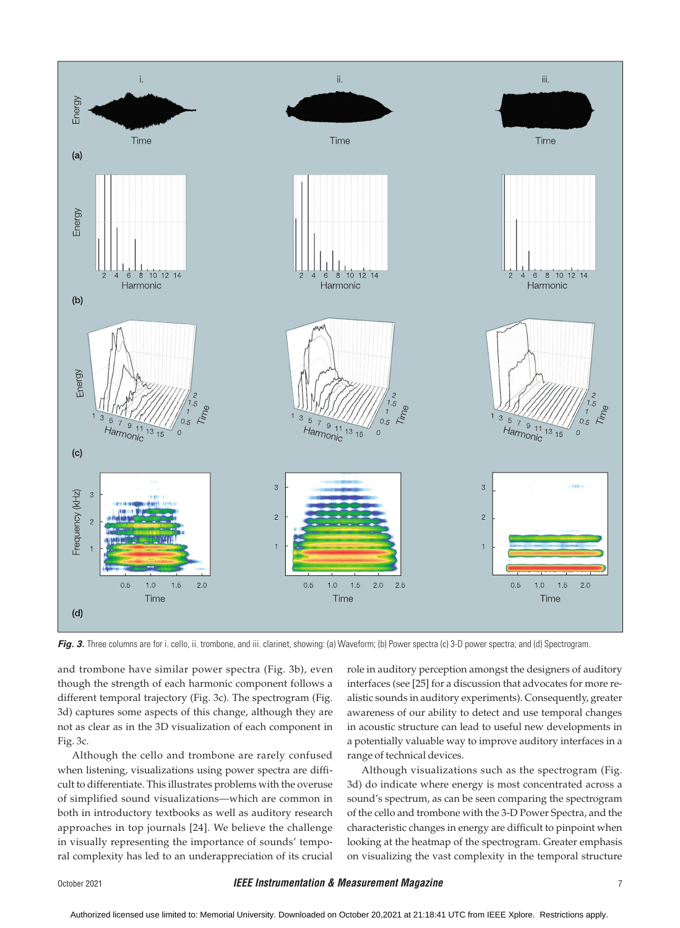

Fig. 3. Three columns are for i. cello, ii. trombone, and iii. clarinet, showing: (a) Waveform; (b) Power spectra (c) 3-D power spectra; and (d) Spectrogram.

and trombone have similar power spectra (Fig. 3b), even though the strength of each harmonic component follows a different temporal trajectory (Fig. 3c). The spectrogram (Fig. 3d) captures some aspects of this change, although they are not as clear as in the 3D visualization of each component in Fig. 3c.

Although the cello and trombone are rarely confused when listening, visualizations using power spectra are difficult to differentiate. This illustrates problems with the overuse of simplified sound visualizations—which are common in both in introductory textbooks as well as auditory research approaches in top journals [24]. We believe the challenge in visually representing the importance of sounds' temporal complexity has led to an underappreciation of its crucial role in auditory perception amongst the designers of auditory interfaces (see [25] for a discussion that advocates for more realistic sounds in auditory experiments). Consequently, greater awareness of our ability to detect and use temporal changes in acoustic structure can lead to useful new developments in a potentially valuable way to improve auditory interfaces in a range of technical devices.

Although visualizations such as the spectrogram (Fig. 3d) do indicate where energy is most concentrated across a sound's spectrum, as can be seen comparing the spectrogram of the cello and trombone with the 3-D Power Spectra, and the characteristic changes in energy are difficult to pinpoint when looking at the heatmap of the spectrogram. Greater emphasis on visualizing the vast complexity in the temporal structure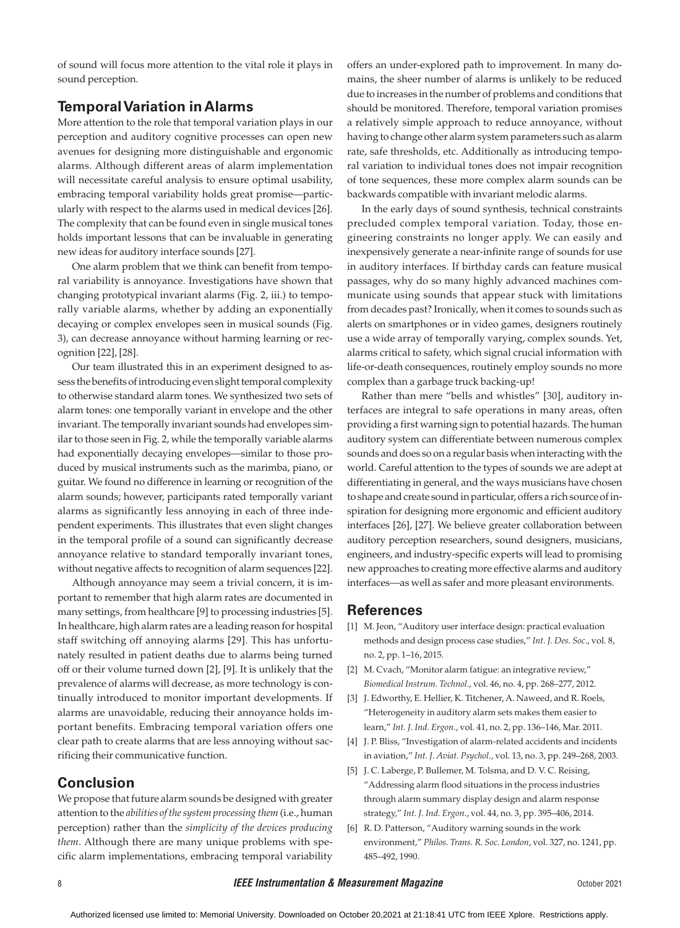of sound will focus more attention to the vital role it plays in sound perception.

## **Temporal Variation in Alarms**

More attention to the role that temporal variation plays in our perception and auditory cognitive processes can open new avenues for designing more distinguishable and ergonomic alarms. Although different areas of alarm implementation will necessitate careful analysis to ensure optimal usability, embracing temporal variability holds great promise—particularly with respect to the alarms used in medical devices [26]. The complexity that can be found even in single musical tones holds important lessons that can be invaluable in generating new ideas for auditory interface sounds [27].

One alarm problem that we think can benefit from temporal variability is annoyance. Investigations have shown that changing prototypical invariant alarms (Fig. 2, iii.) to temporally variable alarms, whether by adding an exponentially decaying or complex envelopes seen in musical sounds (Fig. 3), can decrease annoyance without harming learning or recognition [22], [28].

Our team illustrated this in an experiment designed to assess the benefits of introducing even slight temporal complexity to otherwise standard alarm tones. We synthesized two sets of alarm tones: one temporally variant in envelope and the other invariant. The temporally invariant sounds had envelopes similar to those seen in Fig. 2, while the temporally variable alarms had exponentially decaying envelopes—similar to those produced by musical instruments such as the marimba, piano, or guitar. We found no difference in learning or recognition of the alarm sounds; however, participants rated temporally variant alarms as significantly less annoying in each of three independent experiments. This illustrates that even slight changes in the temporal profile of a sound can significantly decrease annoyance relative to standard temporally invariant tones, without negative affects to recognition of alarm sequences [22].

Although annoyance may seem a trivial concern, it is important to remember that high alarm rates are documented in many settings, from healthcare [9] to processing industries [5]. In healthcare, high alarm rates are a leading reason for hospital staff switching off annoying alarms [29]. This has unfortunately resulted in patient deaths due to alarms being turned off or their volume turned down [2], [9]. It is unlikely that the prevalence of alarms will decrease, as more technology is continually introduced to monitor important developments. If alarms are unavoidable, reducing their annoyance holds important benefits. Embracing temporal variation offers one clear path to create alarms that are less annoying without sacrificing their communicative function.

## **Conclusion**

We propose that future alarm sounds be designed with greater attention to the *abilities of the system processing them* (i.e., human perception) rather than the *simplicity of the devices producing them*. Although there are many unique problems with specific alarm implementations, embracing temporal variability offers an under-explored path to improvement. In many domains, the sheer number of alarms is unlikely to be reduced due to increases in the number of problems and conditions that should be monitored. Therefore, temporal variation promises a relatively simple approach to reduce annoyance, without having to change other alarm system parameters such as alarm rate, safe thresholds, etc. Additionally as introducing temporal variation to individual tones does not impair recognition of tone sequences, these more complex alarm sounds can be backwards compatible with invariant melodic alarms.

In the early days of sound synthesis, technical constraints precluded complex temporal variation. Today, those engineering constraints no longer apply. We can easily and inexpensively generate a near-infinite range of sounds for use in auditory interfaces. If birthday cards can feature musical passages, why do so many highly advanced machines communicate using sounds that appear stuck with limitations from decades past? Ironically, when it comes to sounds such as alerts on smartphones or in video games, designers routinely use a wide array of temporally varying, complex sounds. Yet, alarms critical to safety, which signal crucial information with life-or-death consequences, routinely employ sounds no more complex than a garbage truck backing-up!

Rather than mere "bells and whistles" [30], auditory interfaces are integral to safe operations in many areas, often providing a first warning sign to potential hazards. The human auditory system can differentiate between numerous complex sounds and does so on a regular basis when interacting with the world. Careful attention to the types of sounds we are adept at differentiating in general, and the ways musicians have chosen to shape and create sound in particular, offers a rich source of inspiration for designing more ergonomic and efficient auditory interfaces [26], [27]. We believe greater collaboration between auditory perception researchers, sound designers, musicians, engineers, and industry-specific experts will lead to promising new approaches to creating more effective alarms and auditory interfaces—as well as safer and more pleasant environments.

## **References**

- [1] M. Jeon, "Auditory user interface design: practical evaluation methods and design process case studies," *Int. J. Des. Soc*., vol. 8, no. 2, pp. 1–16, 2015.
- [2] M. Cvach, "Monitor alarm fatigue: an integrative review," *Biomedical Instrum. Technol*., vol. 46, no. 4, pp. 268–277, 2012.
- [3] J. Edworthy, E. Hellier, K. Titchener, A. Naweed, and R. Roels, "Heterogeneity in auditory alarm sets makes them easier to learn," *Int. J. Ind. Ergon*., vol. 41, no. 2, pp. 136–146, Mar. 2011.
- [4] J. P. Bliss, "Investigation of alarm-related accidents and incidents in aviation," *Int. J. Aviat. Psychol*., vol. 13, no. 3, pp. 249–268, 2003.
- [5] J. C. Laberge, P. Bullemer, M. Tolsma, and D. V. C. Reising, "Addressing alarm flood situations in the process industries through alarm summary display design and alarm response strategy," *Int. J. Ind. Ergon*., vol. 44, no. 3, pp. 395–406, 2014.
- [6] R. D. Patterson, "Auditory warning sounds in the work environment," *Philos. Trans. R. Soc. London*, vol. 327, no. 1241, pp. 485–492, 1990.